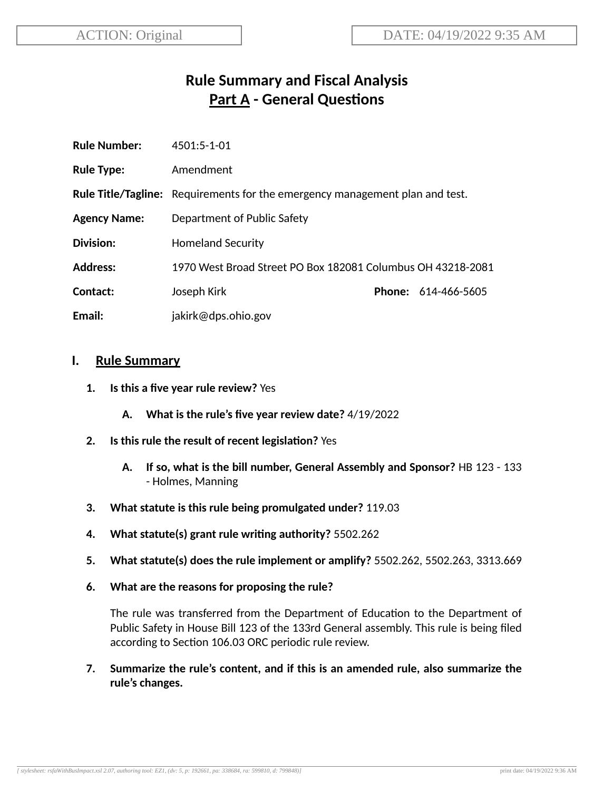# **Rule Summary and Fiscal Analysis Part A - General Questions**

| <b>Rule Number:</b> | $4501:5-1-01$                                                                       |  |                            |  |
|---------------------|-------------------------------------------------------------------------------------|--|----------------------------|--|
| <b>Rule Type:</b>   | Amendment                                                                           |  |                            |  |
|                     | <b>Rule Title/Tagline:</b> Requirements for the emergency management plan and test. |  |                            |  |
| <b>Agency Name:</b> | Department of Public Safety                                                         |  |                            |  |
| Division:           | <b>Homeland Security</b>                                                            |  |                            |  |
| <b>Address:</b>     | 1970 West Broad Street PO Box 182081 Columbus OH 43218-2081                         |  |                            |  |
| Contact:            | Joseph Kirk                                                                         |  | <b>Phone: 614-466-5605</b> |  |
| Email:              | jakirk@dps.ohio.gov                                                                 |  |                            |  |

#### **I. Rule Summary**

- **1. Is this a five year rule review?** Yes
	- **A. What is the rule's five year review date?** 4/19/2022
- **2. Is this rule the result of recent legislaon?** Yes
	- **A. If so, what is the bill number, General Assembly and Sponsor?** HB 123 133 - Holmes, Manning
- **3. What statute is this rule being promulgated under?** 119.03
- **4. What statute(s) grant rule wring authority?** 5502.262
- **5. What statute(s) does the rule implement or amplify?** 5502.262, 5502.263, 3313.669
- **6. What are the reasons for proposing the rule?**

The rule was transferred from the Department of Education to the Department of Public Safety in House Bill 123 of the 133rd General assembly. This rule is being filed according to Section 106.03 ORC periodic rule review.

**7. Summarize the rule's content, and if this is an amended rule, also summarize the rule's changes.**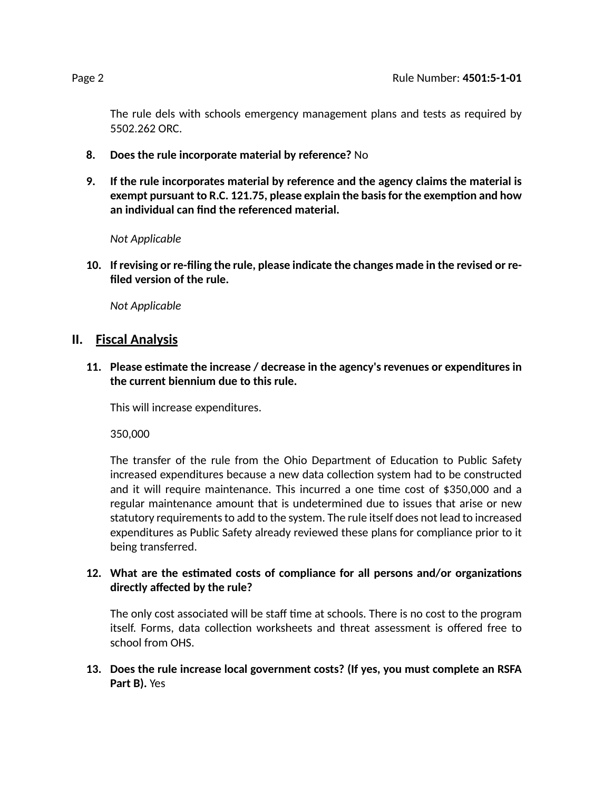The rule dels with schools emergency management plans and tests as required by 5502.262 ORC.

- **8. Does the rule incorporate material by reference?** No
- **9. If the rule incorporates material by reference and the agency claims the material is exempt pursuant to R.C. 121.75, please explain the basisfor the exempon and how an individual can find the referenced material.**

*Not Applicable*

**10. If revising or re-filing the rule, please indicate the changes made in the revised or refiled version of the rule.**

*Not Applicable*

### **II. Fiscal Analysis**

**11. Please esmate the increase / decrease in the agency's revenues or expenditures in the current biennium due to this rule.**

This will increase expenditures.

350,000

The transfer of the rule from the Ohio Department of Education to Public Safety increased expenditures because a new data collection system had to be constructed and it will require maintenance. This incurred a one time cost of  $$350,000$  and a regular maintenance amount that is undetermined due to issues that arise or new statutory requirements to add to the system. The rule itself does not lead to increased expenditures as Public Safety already reviewed these plans for compliance prior to it being transferred.

#### **12. What are the esmated costs of compliance for all persons and/or organizaons directly affected by the rule?**

The only cost associated will be staff time at schools. There is no cost to the program itself. Forms, data collection worksheets and threat assessment is offered free to school from OHS.

**13. Does the rule increase local government costs? (If yes, you must complete an RSFA Part B).** Yes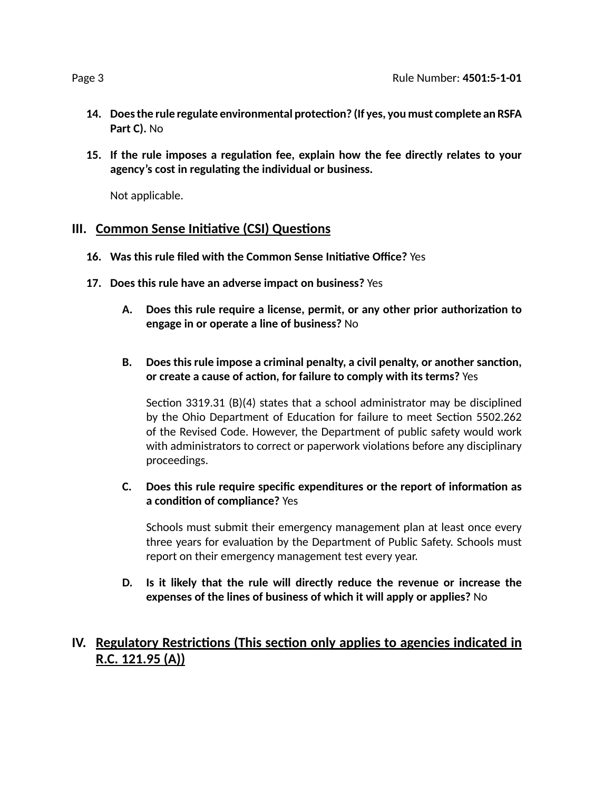- **14. Doesthe rule regulate environmental protecon? (If yes, you must complete an RSFA Part C).** No
- **15. If the rule imposes a regulaon fee, explain how the fee directly relates to your agency's cost in regulang the individual or business.**

Not applicable.

### **III.** Common Sense Initiative (CSI) Questions

- **16. Was this rule filed with the Common Sense Iniave Office?** Yes
- **17. Does this rule have an adverse impact on business?** Yes
	- **A. Does this rule require a license, permit, or any other prior authorizaon to engage in or operate a line of business?** No
	- **B. Does this rule impose a criminal penalty, a civil penalty, or another sancon, or create a cause of acon, for failure to comply with its terms?** Yes

Section 3319.31  $(B)(4)$  states that a school administrator may be disciplined by the Ohio Department of Education for failure to meet Section 5502.262 of the Revised Code. However, the Department of public safety would work with administrators to correct or paperwork violations before any disciplinary proceedings.

#### **C. Does this rule require specific expenditures or the report of informaon as a** condition of compliance? Yes

Schools must submit their emergency management plan at least once every three years for evaluation by the Department of Public Safety. Schools must report on their emergency management test every year.

**D. Is it likely that the rule will directly reduce the revenue or increase the expenses of the lines of business of which it will apply or applies?** No

## **IV.** Regulatory Restrictions (This section only applies to agencies indicated in **R.C. 121.95 (A))**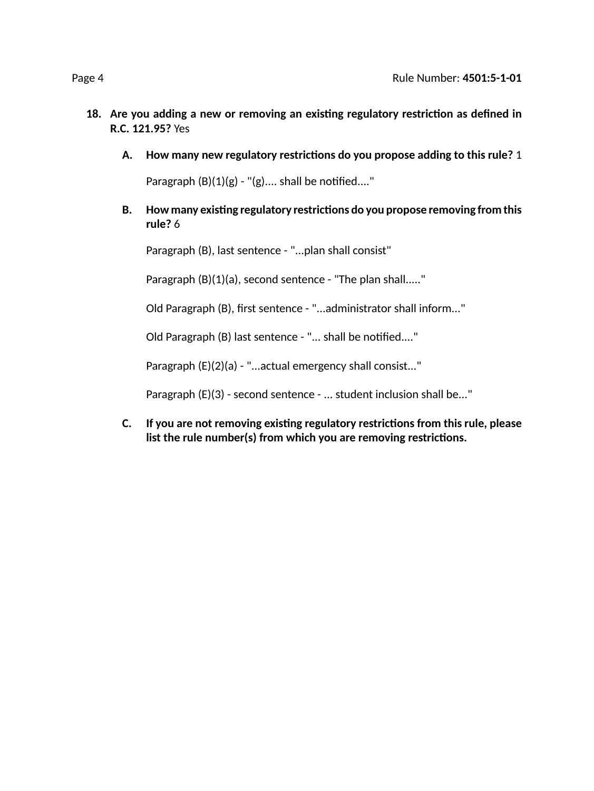- **18. Are you adding a new or removing an exisng regulatory restricon as defined in R.C. 121.95?** Yes
	- **A. How many new regulatory restricons do you propose adding to this rule?** 1

Paragraph  $(B)(1)(g)$  - " $(g)$ .... shall be notified...."

**B. How many exisng regulatory restricons do you propose removing from this rule?** 6

Paragraph (B), last sentence - "...plan shall consist"

Paragraph (B)(1)(a), second sentence - "The plan shall....."

Old Paragraph (B), first sentence - "...administrator shall inform..."

Old Paragraph (B) last sentence - "... shall be notified...."

Paragraph (E)(2)(a) - "...actual emergency shall consist..."

Paragraph (E)(3) - second sentence - ... student inclusion shall be..."

**C. If you are not removing exisng regulatory restricons from this rule, please list the rule number(s) from which you are removing restricons.**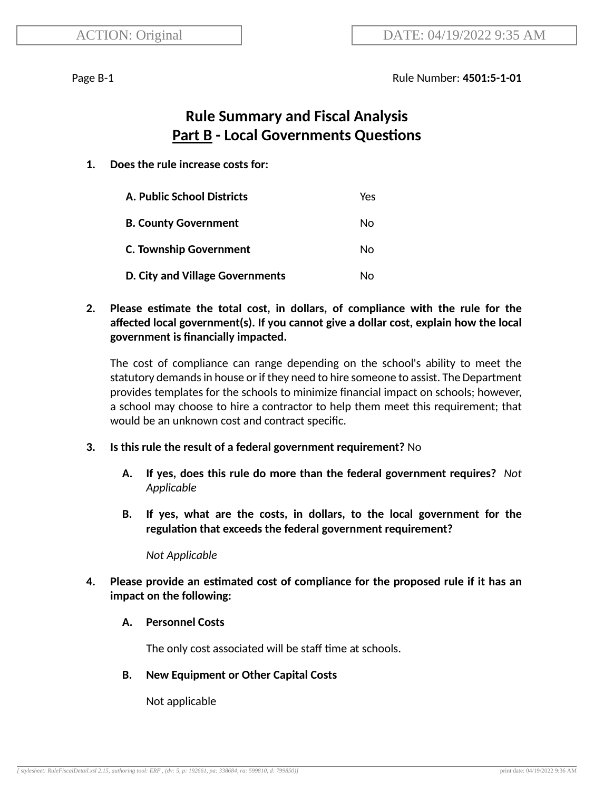Page B-1 Rule Number: **4501:5-1-01**

# **Rule Summary and Fiscal Analysis Part B - Local Governments Questions**

#### **1. Does the rule increase costs for:**

| A. Public School Districts      | Yes. |
|---------------------------------|------|
| <b>B. County Government</b>     | No   |
| <b>C. Township Government</b>   | No   |
| D. City and Village Governments | Nο   |

#### **2. Please esmate the total cost, in dollars, of compliance with the rule for the affected local government(s). If you cannot give a dollar cost, explain how the local government is financially impacted.**

The cost of compliance can range depending on the school's ability to meet the statutory demands in house or if they need to hire someone to assist. The Department provides templates for the schools to minimize financial impact on schools; however, a school may choose to hire a contractor to help them meet this requirement; that would be an unknown cost and contract specific.

#### **3. Is this rule the result of a federal government requirement?** No

- **A. If yes, does this rule do more than the federal government requires?** *Not Applicable*
- **B. If yes, what are the costs, in dollars, to the local government for the regulation that exceeds the federal government requirement?**

*Not Applicable*

**4. Please provide an esmated cost of compliance for the proposed rule if it has an impact on the following:**

#### **A. Personnel Costs**

The only cost associated will be staff time at schools.

#### **B. New Equipment or Other Capital Costs**

Not applicable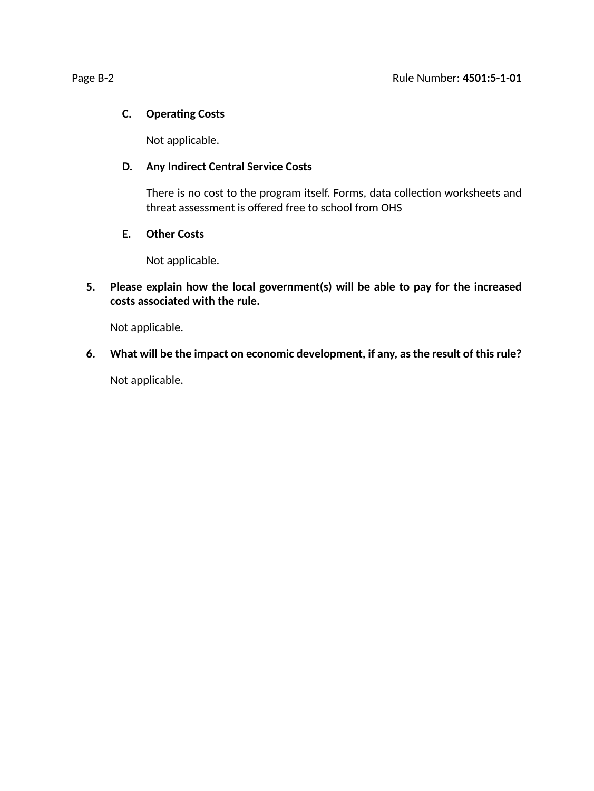#### **C. Operating Costs**

Not applicable.

#### **D. Any Indirect Central Service Costs**

There is no cost to the program itself. Forms, data collection worksheets and threat assessment is offered free to school from OHS

#### **E. Other Costs**

Not applicable.

#### **5. Please explain how the local government(s) will be able to pay for the increased costs associated with the rule.**

Not applicable.

**6. What will be the impact on economic development, if any, as the result of this rule?**

Not applicable.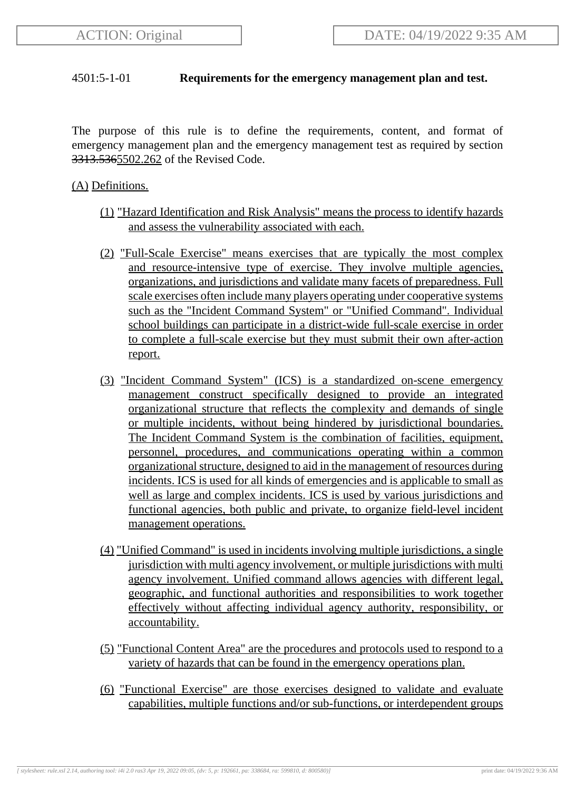#### 4501:5-1-01 **Requirements for the emergency management plan and test.**

The purpose of this rule is to define the requirements, content, and format of emergency management plan and the emergency management test as required by section 3313.5365502.262 of the Revised Code.

#### (A) Definitions.

- (1) "Hazard Identification and Risk Analysis" means the process to identify hazards and assess the vulnerability associated with each.
- (2) "Full-Scale Exercise" means exercises that are typically the most complex and resource-intensive type of exercise. They involve multiple agencies, organizations, and jurisdictions and validate many facets of preparedness. Full scale exercises often include many players operating under cooperative systems such as the "Incident Command System" or "Unified Command". Individual school buildings can participate in a district-wide full-scale exercise in order to complete a full-scale exercise but they must submit their own after-action report.
- (3) "Incident Command System" (ICS) is a standardized on-scene emergency management construct specifically designed to provide an integrated organizational structure that reflects the complexity and demands of single or multiple incidents, without being hindered by jurisdictional boundaries. The Incident Command System is the combination of facilities, equipment, personnel, procedures, and communications operating within a common organizational structure, designed to aid in the management of resources during incidents. ICS is used for all kinds of emergencies and is applicable to small as well as large and complex incidents. ICS is used by various jurisdictions and functional agencies, both public and private, to organize field-level incident management operations.
- (4) "Unified Command" is used in incidents involving multiple jurisdictions, a single jurisdiction with multi agency involvement, or multiple jurisdictions with multi agency involvement. Unified command allows agencies with different legal, geographic, and functional authorities and responsibilities to work together effectively without affecting individual agency authority, responsibility, or accountability.
- (5) "Functional Content Area" are the procedures and protocols used to respond to a variety of hazards that can be found in the emergency operations plan.
- (6) "Functional Exercise" are those exercises designed to validate and evaluate capabilities, multiple functions and/or sub-functions, or interdependent groups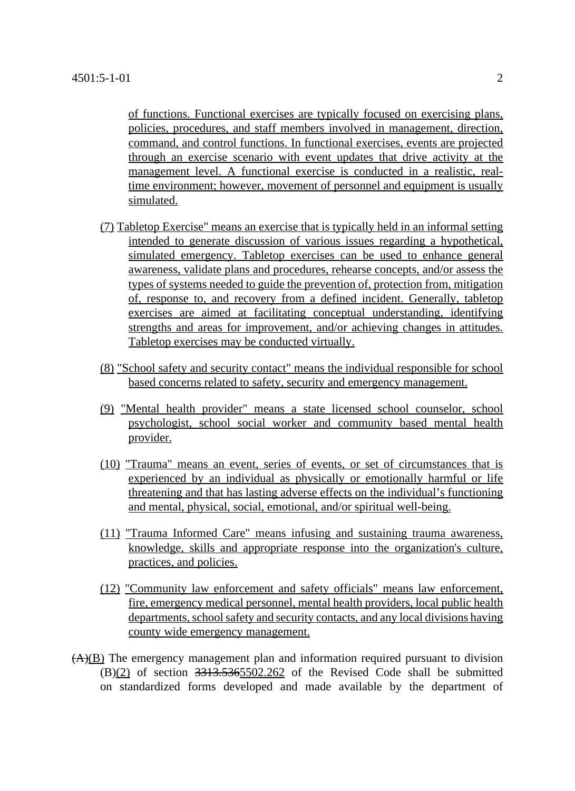of functions. Functional exercises are typically focused on exercising plans, policies, procedures, and staff members involved in management, direction, command, and control functions. In functional exercises, events are projected through an exercise scenario with event updates that drive activity at the management level. A functional exercise is conducted in a realistic, realtime environment; however, movement of personnel and equipment is usually simulated.

- (7) Tabletop Exercise" means an exercise that is typically held in an informal setting intended to generate discussion of various issues regarding a hypothetical, simulated emergency. Tabletop exercises can be used to enhance general awareness, validate plans and procedures, rehearse concepts, and/or assess the types of systems needed to guide the prevention of, protection from, mitigation of, response to, and recovery from a defined incident. Generally, tabletop exercises are aimed at facilitating conceptual understanding, identifying strengths and areas for improvement, and/or achieving changes in attitudes. Tabletop exercises may be conducted virtually.
- (8) "School safety and security contact" means the individual responsible for school based concerns related to safety, security and emergency management.
- (9) "Mental health provider" means a state licensed school counselor, school psychologist, school social worker and community based mental health provider.
- (10) "Trauma" means an event, series of events, or set of circumstances that is experienced by an individual as physically or emotionally harmful or life threatening and that has lasting adverse effects on the individual's functioning and mental, physical, social, emotional, and/or spiritual well-being.
- (11) "Trauma Informed Care" means infusing and sustaining trauma awareness, knowledge, skills and appropriate response into the organization's culture, practices, and policies.
- (12) "Community law enforcement and safety officials" means law enforcement, fire, emergency medical personnel, mental health providers, local public health departments, school safety and security contacts, and any local divisions having county wide emergency management.
- $(A)(B)$  The emergency management plan and information required pursuant to division  $(B)(2)$  of section  $3313.5365502.262$  of the Revised Code shall be submitted on standardized forms developed and made available by the department of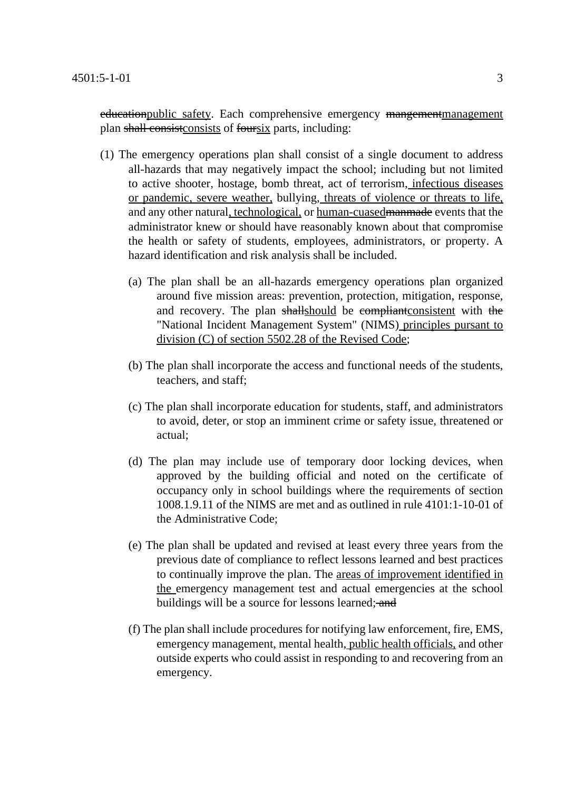education public safety. Each comprehensive emergency mangementmanagement plan shall consist consists of foursix parts, including:

- (1) The emergency operations plan shall consist of a single document to address all-hazards that may negatively impact the school; including but not limited to active shooter, hostage, bomb threat, act of terrorism, infectious diseases or pandemic, severe weather, bullying, threats of violence or threats to life, and any other natural, technological, or human-cuasedmanmade events that the administrator knew or should have reasonably known about that compromise the health or safety of students, employees, administrators, or property. A hazard identification and risk analysis shall be included.
	- (a) The plan shall be an all-hazards emergency operations plan organized around five mission areas: prevention, protection, mitigation, response, and recovery. The plan shallshould be compliant consistent with the "National Incident Management System" (NIMS) principles pursant to division (C) of section 5502.28 of the Revised Code;
	- (b) The plan shall incorporate the access and functional needs of the students, teachers, and staff;
	- (c) The plan shall incorporate education for students, staff, and administrators to avoid, deter, or stop an imminent crime or safety issue, threatened or actual;
	- (d) The plan may include use of temporary door locking devices, when approved by the building official and noted on the certificate of occupancy only in school buildings where the requirements of section 1008.1.9.11 of the NIMS are met and as outlined in rule 4101:1-10-01 of the Administrative Code;
	- (e) The plan shall be updated and revised at least every three years from the previous date of compliance to reflect lessons learned and best practices to continually improve the plan. The areas of improvement identified in the emergency management test and actual emergencies at the school buildings will be a source for lessons learned; and
	- (f) The plan shall include procedures for notifying law enforcement, fire, EMS, emergency management, mental health, public health officials, and other outside experts who could assist in responding to and recovering from an emergency.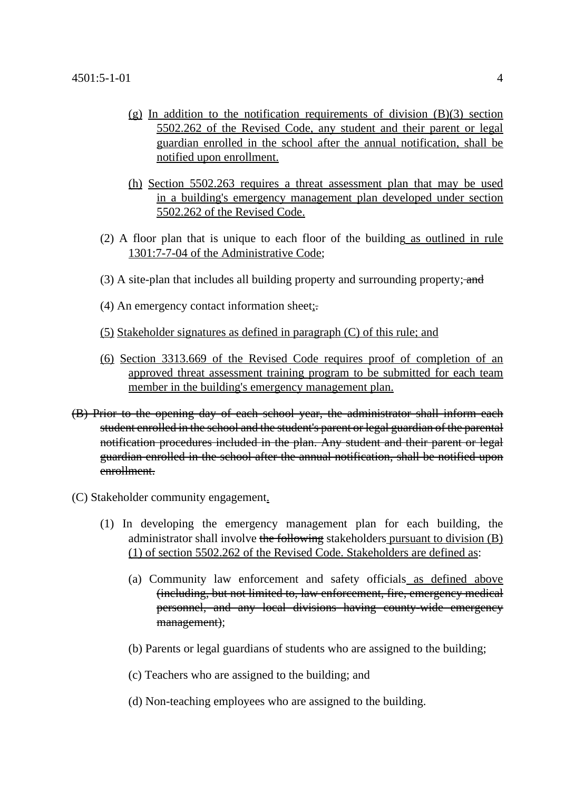- $(g)$  In addition to the notification requirements of division  $(B)(3)$  section 5502.262 of the Revised Code, any student and their parent or legal guardian enrolled in the school after the annual notification, shall be notified upon enrollment.
- (h) Section 5502.263 requires a threat assessment plan that may be used in a building's emergency management plan developed under section 5502.262 of the Revised Code.
- (2) A floor plan that is unique to each floor of the building as outlined in rule 1301:7-7-04 of the Administrative Code;
- (3) A site-plan that includes all building property and surrounding property; and
- (4) An emergency contact information sheet;.
- (5) Stakeholder signatures as defined in paragraph (C) of this rule; and
- (6) Section 3313.669 of the Revised Code requires proof of completion of an approved threat assessment training program to be submitted for each team member in the building's emergency management plan.
- (B) Prior to the opening day of each school year, the administrator shall inform each student enrolled in the school and the student's parent or legal guardian of the parental notification procedures included in the plan. Any student and their parent or legal guardian enrolled in the school after the annual notification, shall be notified upon enrollment.
- (C) Stakeholder community engagement.
	- (1) In developing the emergency management plan for each building, the administrator shall involve the following stakeholders pursuant to division (B) (1) of section 5502.262 of the Revised Code. Stakeholders are defined as:
		- (a) Community law enforcement and safety officials as defined above (including, but not limited to, law enforcement, fire, emergency medical personnel, and any local divisions having county-wide emergency management);
		- (b) Parents or legal guardians of students who are assigned to the building;
		- (c) Teachers who are assigned to the building; and
		- (d) Non-teaching employees who are assigned to the building.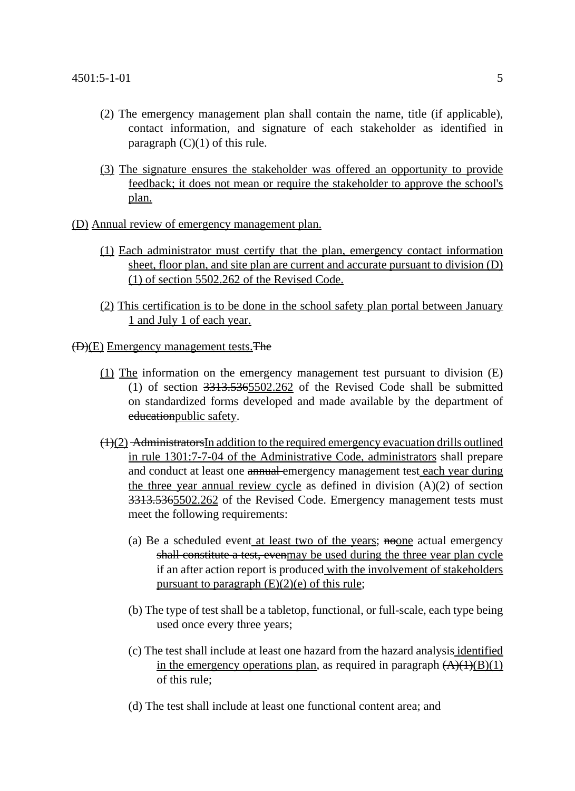- (2) The emergency management plan shall contain the name, title (if applicable), contact information, and signature of each stakeholder as identified in paragraph  $(C)(1)$  of this rule.
- (3) The signature ensures the stakeholder was offered an opportunity to provide feedback; it does not mean or require the stakeholder to approve the school's plan.
- (D) Annual review of emergency management plan.
	- (1) Each administrator must certify that the plan, emergency contact information sheet, floor plan, and site plan are current and accurate pursuant to division (D) (1) of section 5502.262 of the Revised Code.
	- (2) This certification is to be done in the school safety plan portal between January 1 and July 1 of each year.
- (D)(E) Emergency management tests.The
	- (1) The information on the emergency management test pursuant to division (E) (1) of section 3313.5365502.262 of the Revised Code shall be submitted on standardized forms developed and made available by the department of educationpublic safety.
	- $(1)(2)$  AdministratorsIn addition to the required emergency evacuation drills outlined in rule 1301:7-7-04 of the Administrative Code, administrators shall prepare and conduct at least one **annual** emergency management test each year during the three year annual review cycle as defined in division  $(A)(2)$  of section 3313.5365502.262 of the Revised Code. Emergency management tests must meet the following requirements:
		- (a) Be a scheduled event at least two of the years; **noone** actual emergency shall constitute a test, evenmay be used during the three year plan cycle if an after action report is produced with the involvement of stakeholders pursuant to paragraph  $(E)(2)(e)$  of this rule;
		- (b) The type of test shall be a tabletop, functional, or full-scale, each type being used once every three years;
		- (c) The test shall include at least one hazard from the hazard analysis identified in the emergency operations plan, as required in paragraph  $\left(\frac{A}{A}(1)(B)(1)\right)$ of this rule;
		- (d) The test shall include at least one functional content area; and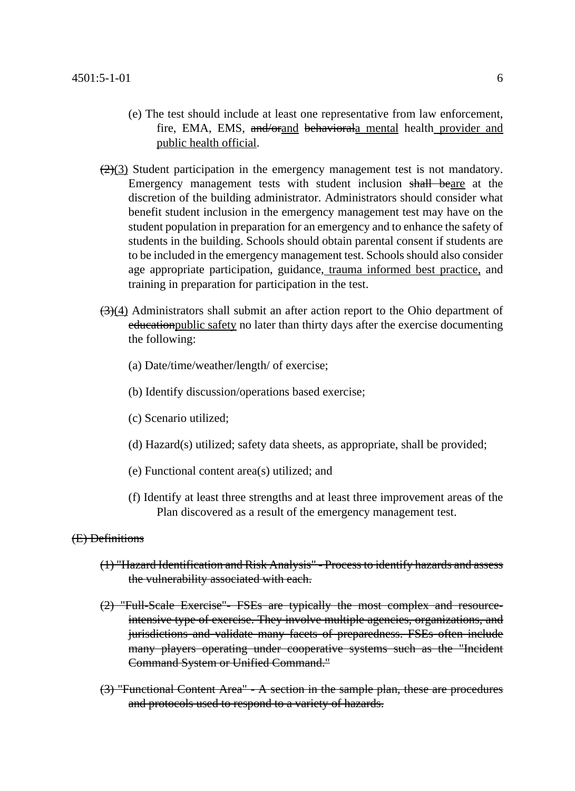- (e) The test should include at least one representative from law enforcement, fire, EMA, EMS, and/orand behaviorala mental health provider and public health official.
- $\left(\frac{2}{3}\right)$  Student participation in the emergency management test is not mandatory. Emergency management tests with student inclusion shall beare at the discretion of the building administrator. Administrators should consider what benefit student inclusion in the emergency management test may have on the student population in preparation for an emergency and to enhance the safety of students in the building. Schools should obtain parental consent if students are to be included in the emergency management test. Schools should also consider age appropriate participation, guidance, trauma informed best practice, and training in preparation for participation in the test.
- $\left(\frac{3}{4}\right)$  Administrators shall submit an after action report to the Ohio department of educationpublic safety no later than thirty days after the exercise documenting the following:
	- (a) Date/time/weather/length/ of exercise;
	- (b) Identify discussion/operations based exercise;
	- (c) Scenario utilized;
	- (d) Hazard(s) utilized; safety data sheets, as appropriate, shall be provided;
	- (e) Functional content area(s) utilized; and
	- (f) Identify at least three strengths and at least three improvement areas of the Plan discovered as a result of the emergency management test.

#### (E) Definitions

- (1) "Hazard Identification and Risk Analysis" Process to identify hazards and assess the vulnerability associated with each.
- (2) "Full-Scale Exercise"- FSEs are typically the most complex and resourceintensive type of exercise. They involve multiple agencies, organizations, and jurisdictions and validate many facets of preparedness. FSEs often include many players operating under cooperative systems such as the "Incident Command System or Unified Command."
- (3) "Functional Content Area" A section in the sample plan, these are procedures and protocols used to respond to a variety of hazards.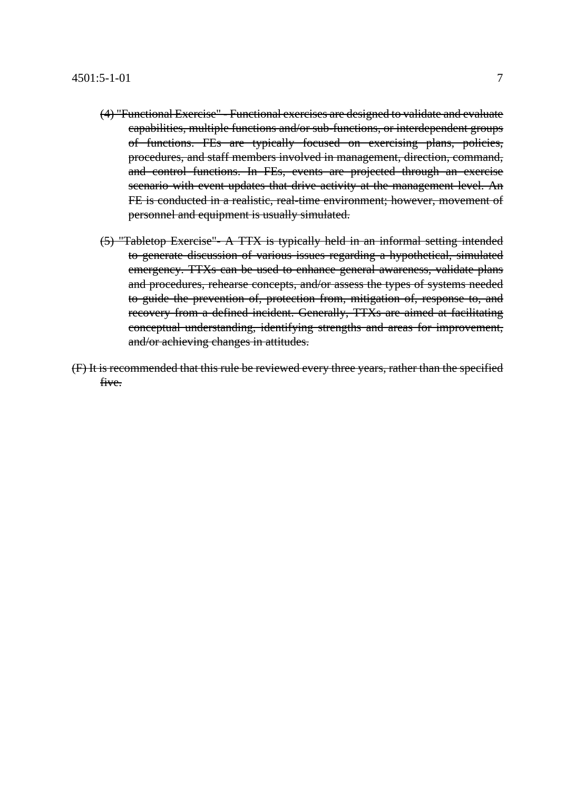- (4) "Functional Exercise" Functional exercises are designed to validate and evaluate capabilities, multiple functions and/or sub-functions, or interdependent groups of functions. FEs are typically focused on exercising plans, policies, procedures, and staff members involved in management, direction, command, and control functions. In FEs, events are projected through an exercise scenario with event updates that drive activity at the management level. An FE is conducted in a realistic, real-time environment; however, movement of personnel and equipment is usually simulated.
- (5) "Tabletop Exercise"- A TTX is typically held in an informal setting intended to generate discussion of various issues regarding a hypothetical, simulated emergency. TTXs can be used to enhance general awareness, validate plans and procedures, rehearse concepts, and/or assess the types of systems needed to guide the prevention of, protection from, mitigation of, response to, and recovery from a defined incident. Generally, TTXs are aimed at facilitating conceptual understanding, identifying strengths and areas for improvement, and/or achieving changes in attitudes.
- (F) It is recommended that this rule be reviewed every three years, rather than the specified five.